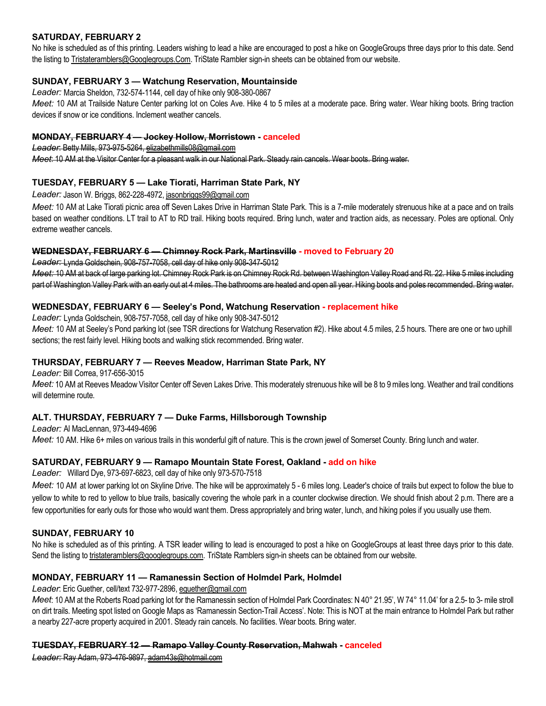### SATURDAY, FEBRUARY 2

No hike is scheduled as of this printing. Leaders wishing to lead a hike are encouraged to post a hike on GoogleGroups three days prior to this date. Send the listing to Tristateramblers@Googlegroups.Com. TriState Rambler sign-in sheets can be obtained from our website.

### SUNDAY, FEBRUARY 3 — Watchung Reservation, Mountainside

Leader: Marcia Sheldon, 732-574-1144, cell day of hike only 908-380-0867

Meet: 10 AM at Trailside Nature Center parking lot on Coles Ave. Hike 4 to 5 miles at a moderate pace. Bring water. Wear hiking boots. Bring traction devices if snow or ice conditions. Inclement weather cancels.

#### MONDAY, FEBRUARY 4— Jockey Hollow, Morristown - canceled

Leader: Betty Mills, 973-975-5264, elizabethmills08@gmail.com

Meet: 10 AM at the Visitor Center for a pleasant walk in our National Park. Steady rain cancels. Wear boots. Bring water.

### TUESDAY, FEBRUARY 5 — Lake Tiorati, Harriman State Park, NY

Leader: Jason W. Briggs, 862-228-4972, jasonbriggs99@gmail.com

Meet: 10 AM at Lake Tiorati picnic area off Seven Lakes Drive in Harriman State Park. This is a 7-mile moderately strenuous hike at a pace and on trails based on weather conditions. LT trail to AT to RD trail. Hiking boots required. Bring lunch, water and traction aids, as necessary. Poles are optional. Only extreme weather cancels.

#### WEDNESDAY, FEBRUARY 6 — Chimney Rock Park, Martinsville - moved to February 20

Leader: Lynda Goldschein, 908-757-7058, cell day of hike only 908-347-5012

Meet: 10 AM at back of large parking lot. Chimney Rock Park is on Chimney Rock Rd. between Washington Valley Road and Rt. 22. Hike 5 miles including part of Washington Valley Park with an early out at 4 miles. The bathrooms are heated and open all year. Hiking boots and poles recommended. Bring water.

### WEDNESDAY, FEBRUARY 6 — Seeley's Pond, Watchung Reservation - replacement hike

Leader: Lynda Goldschein, 908-757-7058, cell day of hike only 908-347-5012 Meet: 10 AM at Seeley's Pond parking lot (see TSR directions for Watchung Reservation #2). Hike about 4.5 miles, 2.5 hours. There are one or two uphill sections; the rest fairly level. Hiking boots and walking stick recommended. Bring water.

### THURSDAY, FEBRUARY 7 — Reeves Meadow, Harriman State Park, NY

Leader: Bill Correa, 917-656-3015 Meet: 10 AM at Reeves Meadow Visitor Center off Seven Lakes Drive. This moderately strenuous hike will be 8 to 9 miles long. Weather and trail conditions will determine route.

### ALT. THURSDAY, FEBRUARY 7 — Duke Farms, Hillsborough Township

Leader: Al MacLennan, 973-449-4696 Meet: 10 AM. Hike 6+ miles on various trails in this wonderful gift of nature. This is the crown jewel of Somerset County. Bring lunch and water.

### SATURDAY, FEBRUARY 9 — Ramapo Mountain State Forest, Oakland - add on hike

Leader: Willard Dye, 973-697-6823, cell day of hike only 973-570-7518

Meet: 10 AM at lower parking lot on Skyline Drive. The hike will be approximately 5 - 6 miles long. Leader's choice of trails but expect to follow the blue to yellow to white to red to yellow to blue trails, basically covering the whole park in a counter clockwise direction. We should finish about 2 p.m. There are a few opportunities for early outs for those who would want them. Dress appropriately and bring water, lunch, and hiking poles if you usually use them.

### SUNDAY, FEBRUARY 10

No hike is scheduled as of this printing. A TSR leader willing to lead is encouraged to post a hike on GoogleGroups at least three days prior to this date. Send the listing to tristateramblers@googlegroups.com. TriState Ramblers sign-in sheets can be obtained from our website.

### MONDAY, FEBRUARY 11 — Ramanessin Section of Holmdel Park, Holmdel

Leader: Eric Guether, cell/text 732-977-2896, equether@gmail.com

Meet: 10 AM at the Roberts Road parking lot for the Ramanessin section of Holmdel Park Coordinates: N 40° 21.95', W 74° 11.04' for a 2.5- to 3- mile stroll on dirt trails. Meeting spot listed on Google Maps as 'Ramanessin Section-Trail Access'. Note: This is NOT at the main entrance to Holmdel Park but rather a nearby 227-acre property acquired in 2001. Steady rain cancels. No facilities. Wear boots. Bring water.

### TUESDAY, FEBRUARY 12 — Ramapo Valley County Reservation, Mahwah - canceled

Leader: Ray Adam, 973-476-9897, adam43s@hotmail.com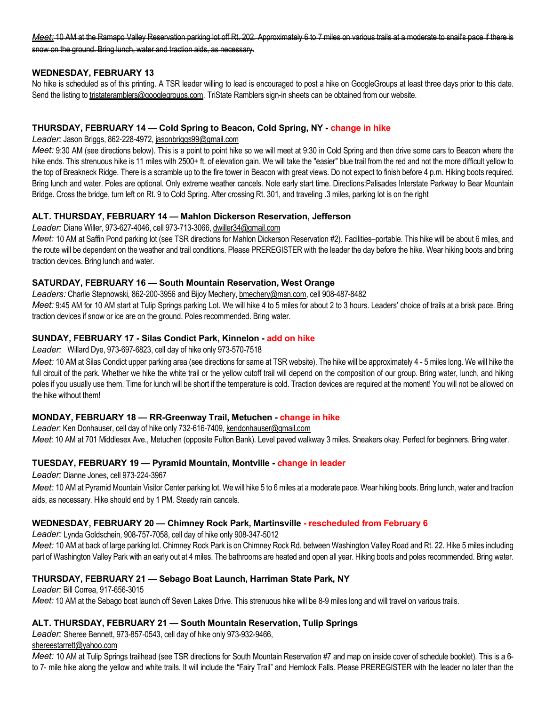Meet: 10 AM at the Ramapo Valley Reservation parking lot off Rt. 202. Approximately 6 to 7 miles on various trails at a moderate to snail's pace if there is snow on the ground. Bring lunch, water and traction aids, as necessary.

### WEDNESDAY, FEBRUARY 13

No hike is scheduled as of this printing. A TSR leader willing to lead is encouraged to post a hike on GoogleGroups at least three days prior to this date. Send the listing to tristateramblers@googlegroups.com. TriState Ramblers sign-in sheets can be obtained from our website.

## THURSDAY, FEBRUARY 14 — Cold Spring to Beacon, Cold Spring, NY - change in hike

Leader: Jason Briggs, 862-228-4972, jasonbriggs99@gmail.com

Meet: 9:30 AM (see directions below). This is a point to point hike so we will meet at 9:30 in Cold Spring and then drive some cars to Beacon where the hike ends. This strenuous hike is 11 miles with 2500+ ft. of elevation gain. We will take the "easier" blue trail from the red and not the more difficult yellow to the top of Breakneck Ridge. There is a scramble up to the fire tower in Beacon with great views. Do not expect to finish before 4 p.m. Hiking boots required. Bring lunch and water. Poles are optional. Only extreme weather cancels. Note early start time. Directions:Palisades Interstate Parkway to Bear Mountain Bridge. Cross the bridge, turn left on Rt. 9 to Cold Spring. After crossing Rt. 301, and traveling .3 miles, parking lot is on the right

### ALT. THURSDAY, FEBRUARY 14 — Mahlon Dickerson Reservation, Jefferson

Leader: Diane Willer, 973-627-4046, cell 973-713-3066, dwiller34@gmail.com

Meet: 10 AM at Saffin Pond parking lot (see TSR directions for Mahlon Dickerson Reservation #2). Facilities–portable. This hike will be about 6 miles, and the route will be dependent on the weather and trail conditions. Please PREREGISTER with the leader the day before the hike. Wear hiking boots and bring traction devices. Bring lunch and water.

### SATURDAY, FEBRUARY 16 — South Mountain Reservation, West Orange

Leaders: Charlie Stepnowski, 862-200-3956 and Bijoy Mechery, bmechery@msn.com, cell 908-487-8482

Meet: 9:45 AM for 10 AM start at Tulip Springs parking Lot. We will hike 4 to 5 miles for about 2 to 3 hours. Leaders' choice of trails at a brisk pace. Bring traction devices if snow or ice are on the ground. Poles recommended. Bring water.

### SUNDAY, FEBRUARY 17 - Silas Condict Park, Kinnelon - add on hike

Leader: Willard Dye, 973-697-6823, cell day of hike only 973-570-7518

Meet: 10 AM at Silas Condict upper parking area (see directions for same at TSR website). The hike will be approximately 4 - 5 miles long. We will hike the full circuit of the park. Whether we hike the white trail or the yellow cutoff trail will depend on the composition of our group. Bring water, lunch, and hiking poles if you usually use them. Time for lunch will be short if the temperature is cold. Traction devices are required at the moment! You will not be allowed on the hike without them!

# MONDAY, FEBRUARY 18 — RR-Greenway Trail, Metuchen - change in hike

Leader: Ken Donhauser, cell day of hike only 732-616-7409, kendonhauser@gmail.com Meet: 10 AM at 701 Middlesex Ave., Metuchen (opposite Fulton Bank). Level paved walkway 3 miles. Sneakers okay. Perfect for beginners. Bring water.

# TUESDAY, FEBRUARY 19 — Pyramid Mountain, Montville - change in leader

Leader: Dianne Jones, cell 973-224-3967

Meet: 10 AM at Pyramid Mountain Visitor Center parking lot. We will hike 5 to 6 miles at a moderate pace. Wear hiking boots. Bring lunch, water and traction aids, as necessary. Hike should end by 1 PM. Steady rain cancels.

### WEDNESDAY, FEBRUARY 20 — Chimney Rock Park, Martinsville - rescheduled from February 6

Leader: Lynda Goldschein, 908-757-7058, cell day of hike only 908-347-5012

Meet: 10 AM at back of large parking lot. Chimney Rock Park is on Chimney Rock Rd. between Washington Valley Road and Rt. 22. Hike 5 miles including part of Washington Valley Park with an early out at 4 miles. The bathrooms are heated and open all year. Hiking boots and poles recommended. Bring water.

# THURSDAY, FEBRUARY 21 — Sebago Boat Launch, Harriman State Park, NY

Leader: Bill Correa, 917-656-3015

Meet: 10 AM at the Sebago boat launch off Seven Lakes Drive. This strenuous hike will be 8-9 miles long and will travel on various trails.

### ALT. THURSDAY, FEBRUARY 21 — South Mountain Reservation, Tulip Springs

Leader: Sheree Bennett, 973-857-0543, cell day of hike only 973-932-9466,

shereestarrett@yahoo.com

Meet: 10 AM at Tulip Springs trailhead (see TSR directions for South Mountain Reservation #7 and map on inside cover of schedule booklet). This is a 6to 7- mile hike along the yellow and white trails. It will include the "Fairy Trail" and Hemlock Falls. Please PREREGISTER with the leader no later than the